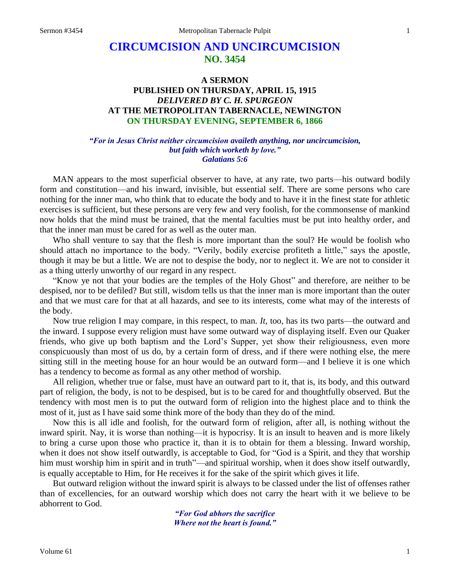# **CIRCUMCISION AND UNCIRCUMCISION NO. 3454**

# **A SERMON PUBLISHED ON THURSDAY, APRIL 15, 1915** *DELIVERED BY C. H. SPURGEON* **AT THE METROPOLITAN TABERNACLE, NEWINGTON ON THURSDAY EVENING, SEPTEMBER 6, 1866**

#### *"For in Jesus Christ neither circumcision availeth anything, nor uncircumcision, but faith which worketh by love." Galatians 5:6*

MAN appears to the most superficial observer to have, at any rate, two parts—his outward bodily form and constitution—and his inward, invisible, but essential self. There are some persons who care nothing for the inner man, who think that to educate the body and to have it in the finest state for athletic exercises is sufficient, but these persons are very few and very foolish, for the commonsense of mankind now holds that the mind must be trained, that the mental faculties must be put into healthy order, and that the inner man must be cared for as well as the outer man.

Who shall venture to say that the flesh is more important than the soul? He would be foolish who should attach no importance to the body. "Verily, bodily exercise profiteth a little," says the apostle, though it may be but a little. We are not to despise the body, nor to neglect it. We are not to consider it as a thing utterly unworthy of our regard in any respect.

"Know ye not that your bodies are the temples of the Holy Ghost" and therefore, are neither to be despised, nor to be defiled? But still, wisdom tells us that the inner man is more important than the outer and that we must care for that at all hazards, and see to its interests, come what may of the interests of the body.

Now true religion I may compare, in this respect, to man. *It*, too, has its two parts—the outward and the inward. I suppose every religion must have some outward way of displaying itself. Even our Quaker friends, who give up both baptism and the Lord's Supper, yet show their religiousness, even more conspicuously than most of us do, by a certain form of dress, and if there were nothing else, the mere sitting still in the meeting house for an hour would be an outward form—and I believe it is one which has a tendency to become as formal as any other method of worship.

All religion, whether true or false, must have an outward part to it, that is, its body, and this outward part of religion, the body, is not to be despised, but is to be cared for and thoughtfully observed. But the tendency with most men is to put the outward form of religion into the highest place and to think the most of it, just as I have said some think more of the body than they do of the mind.

Now this is all idle and foolish, for the outward form of religion, after all, is nothing without the inward spirit. Nay, it is worse than nothing—it is hypocrisy. It is an insult to heaven and is more likely to bring a curse upon those who practice it, than it is to obtain for them a blessing. Inward worship, when it does not show itself outwardly, is acceptable to God, for "God is a Spirit, and they that worship him must worship him in spirit and in truth"—and spiritual worship, when it does show itself outwardly, is equally acceptable to Him, for He receives it for the sake of the spirit which gives it life.

But outward religion without the inward spirit is always to be classed under the list of offenses rather than of excellencies, for an outward worship which does not carry the heart with it we believe to be abhorrent to God.

> *"For God abhors the sacrifice Where not the heart is found."*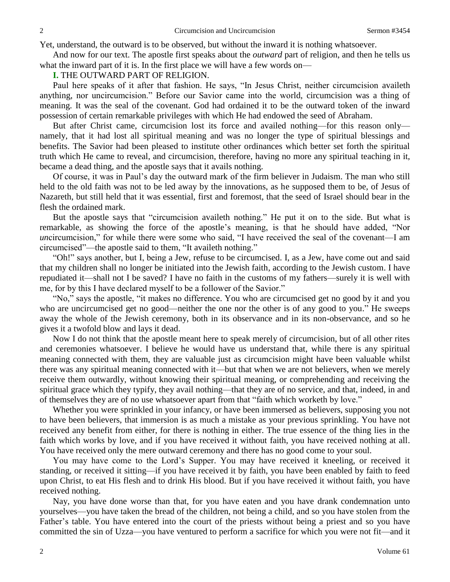Yet, understand, the outward is to be observed, but without the inward it is nothing whatsoever.

And now for our text. The apostle first speaks about the *outward* part of religion, and then he tells us what the inward part of it is. In the first place we will have a few words on—

# **I.** THE OUTWARD PART OF RELIGION.

Paul here speaks of it after that fashion. He says, "In Jesus Christ, neither circumcision availeth anything, nor uncircumcision." Before our Savior came into the world, circumcision was a thing of meaning. It was the seal of the covenant. God had ordained it to be the outward token of the inward possession of certain remarkable privileges with which He had endowed the seed of Abraham.

But after Christ came, circumcision lost its force and availed nothing—for this reason only namely, that it had lost all spiritual meaning and was no longer the type of spiritual blessings and benefits. The Savior had been pleased to institute other ordinances which better set forth the spiritual truth which He came to reveal, and circumcision, therefore, having no more any spiritual teaching in it, became a dead thing, and the apostle says that it avails nothing.

Of course, it was in Paul's day the outward mark of the firm believer in Judaism. The man who still held to the old faith was not to be led away by the innovations, as he supposed them to be, of Jesus of Nazareth, but still held that it was essential, first and foremost, that the seed of Israel should bear in the flesh the ordained mark.

But the apostle says that "circumcision availeth nothing." He put it on to the side. But what is remarkable, as showing the force of the apostle's meaning, is that he should have added, "Nor *un*circumcision," for while there were some who said, "I have received the seal of the covenant—I am circumcised"—the apostle said to them, "It availeth nothing."

"Oh!" says another, but I, being a Jew, refuse to be circumcised. I, as a Jew, have come out and said that my children shall no longer be initiated into the Jewish faith, according to the Jewish custom. I have repudiated it—shall not I be saved? I have no faith in the customs of my fathers—surely it is well with me, for by this I have declared myself to be a follower of the Savior."

"No," says the apostle, "it makes no difference. You who are circumcised get no good by it and you who are uncircumcised get no good—neither the one nor the other is of any good to you." He sweeps away the whole of the Jewish ceremony, both in its observance and in its non-observance, and so he gives it a twofold blow and lays it dead.

Now I do not think that the apostle meant here to speak merely of circumcision, but of all other rites and ceremonies whatsoever. I believe he would have us understand that, while there is any spiritual meaning connected with them, they are valuable just as circumcision might have been valuable whilst there was any spiritual meaning connected with it—but that when we are not believers, when we merely receive them outwardly, without knowing their spiritual meaning, or comprehending and receiving the spiritual grace which they typify, they avail nothing—that they are of no service, and that, indeed, in and of themselves they are of no use whatsoever apart from that "faith which worketh by love."

Whether you were sprinkled in your infancy, or have been immersed as believers, supposing you not to have been believers, that immersion is as much a mistake as your previous sprinkling. You have not received any benefit from either, for there is nothing in either. The true essence of the thing lies in the faith which works by love, and if you have received it without faith, you have received nothing at all. You have received only the mere outward ceremony and there has no good come to your soul.

You may have come to the Lord's Supper. You may have received it kneeling, or received it standing, or received it sitting—if you have received it by faith, you have been enabled by faith to feed upon Christ, to eat His flesh and to drink His blood. But if you have received it without faith, you have received nothing.

Nay, you have done worse than that, for you have eaten and you have drank condemnation unto yourselves—you have taken the bread of the children, not being a child, and so you have stolen from the Father's table. You have entered into the court of the priests without being a priest and so you have committed the sin of Uzza—you have ventured to perform a sacrifice for which you were not fit—and it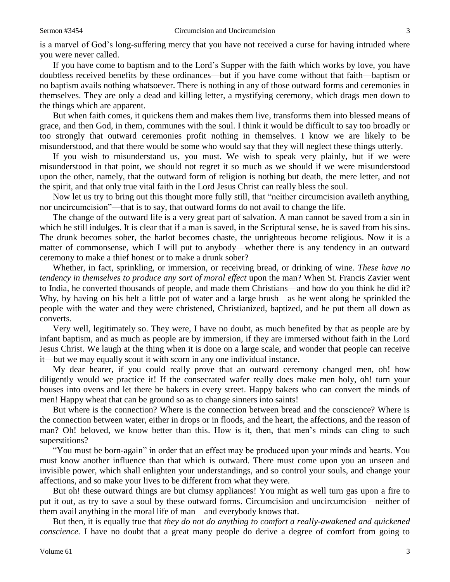is a marvel of God's long-suffering mercy that you have not received a curse for having intruded where you were never called.

If you have come to baptism and to the Lord's Supper with the faith which works by love, you have doubtless received benefits by these ordinances—but if you have come without that faith—baptism or no baptism avails nothing whatsoever. There is nothing in any of those outward forms and ceremonies in themselves. They are only a dead and killing letter, a mystifying ceremony, which drags men down to the things which are apparent.

But when faith comes, it quickens them and makes them live, transforms them into blessed means of grace, and then God, in them, communes with the soul. I think it would be difficult to say too broadly or too strongly that outward ceremonies profit nothing in themselves. I know we are likely to be misunderstood, and that there would be some who would say that they will neglect these things utterly.

If you wish to misunderstand us, you must. We wish to speak very plainly, but if we were misunderstood in that point, we should not regret it so much as we should if we were misunderstood upon the other, namely, that the outward form of religion is nothing but death, the mere letter, and not the spirit, and that only true vital faith in the Lord Jesus Christ can really bless the soul.

Now let us try to bring out this thought more fully still, that "neither circumcision availeth anything, nor uncircumcision"—that is to say, that outward forms do not avail to change the life.

The change of the outward life is a very great part of salvation. A man cannot be saved from a sin in which he still indulges. It is clear that if a man is saved, in the Scriptural sense, he is saved from his sins. The drunk becomes sober, the harlot becomes chaste, the unrighteous become religious. Now it is a matter of commonsense, which I will put to anybody—whether there is any tendency in an outward ceremony to make a thief honest or to make a drunk sober?

Whether, in fact, sprinkling, or immersion, or receiving bread, or drinking of wine. *These have no tendency in themselves to produce any sort of moral effect upon the man? When St. Francis Zavier went* to India, he converted thousands of people, and made them Christians—and how do you think he did it? Why, by having on his belt a little pot of water and a large brush—as he went along he sprinkled the people with the water and they were christened, Christianized, baptized, and he put them all down as converts.

Very well, legitimately so. They were, I have no doubt, as much benefited by that as people are by infant baptism, and as much as people are by immersion, if they are immersed without faith in the Lord Jesus Christ. We laugh at the thing when it is done on a large scale, and wonder that people can receive it—but we may equally scout it with scorn in any one individual instance.

My dear hearer, if you could really prove that an outward ceremony changed men, oh! how diligently would we practice it! If the consecrated wafer really does make men holy, oh! turn your houses into ovens and let there be bakers in every street. Happy bakers who can convert the minds of men! Happy wheat that can be ground so as to change sinners into saints!

But where is the connection? Where is the connection between bread and the conscience? Where is the connection between water, either in drops or in floods, and the heart, the affections, and the reason of man? Oh! beloved, we know better than this. How is it, then, that men's minds can cling to such superstitions?

"You must be born-again" in order that an effect may be produced upon your minds and hearts. You must know another influence than that which is outward. There must come upon you an unseen and invisible power, which shall enlighten your understandings, and so control your souls, and change your affections, and so make your lives to be different from what they were.

But oh! these outward things are but clumsy appliances! You might as well turn gas upon a fire to put it out, as try to save a soul by these outward forms. Circumcision and uncircumcision—neither of them avail anything in the moral life of man—and everybody knows that.

But then, it is equally true that *they do not do anything to comfort a really-awakened and quickened conscience.* I have no doubt that a great many people do derive a degree of comfort from going to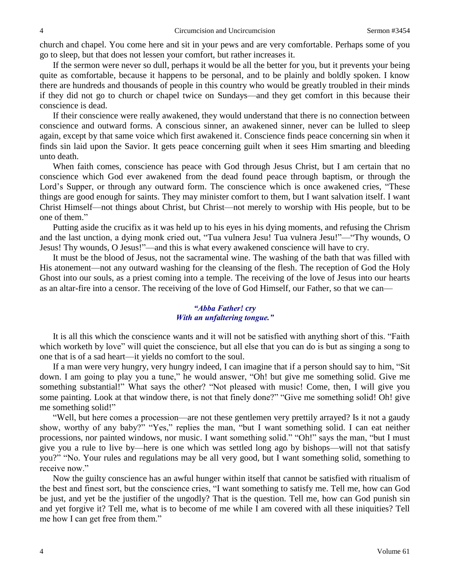church and chapel. You come here and sit in your pews and are very comfortable. Perhaps some of you go to sleep, but that does not lessen your comfort, but rather increases it.

If the sermon were never so dull, perhaps it would be all the better for you, but it prevents your being quite as comfortable, because it happens to be personal, and to be plainly and boldly spoken. I know there are hundreds and thousands of people in this country who would be greatly troubled in their minds if they did not go to church or chapel twice on Sundays—and they get comfort in this because their conscience is dead.

If their conscience were really awakened, they would understand that there is no connection between conscience and outward forms. A conscious sinner, an awakened sinner, never can be lulled to sleep again, except by that same voice which first awakened it. Conscience finds peace concerning sin when it finds sin laid upon the Savior. It gets peace concerning guilt when it sees Him smarting and bleeding unto death.

When faith comes, conscience has peace with God through Jesus Christ, but I am certain that no conscience which God ever awakened from the dead found peace through baptism, or through the Lord's Supper, or through any outward form. The conscience which is once awakened cries, "These things are good enough for saints. They may minister comfort to them, but I want salvation itself. I want Christ Himself—not things about Christ, but Christ—not merely to worship with His people, but to be one of them."

Putting aside the crucifix as it was held up to his eyes in his dying moments, and refusing the Chrism and the last unction, a dying monk cried out, "Tua vulnera Jesu! Tua vulnera Jesu!"—"Thy wounds, O Jesus! Thy wounds, O Jesus!"—and this is what every awakened conscience will have to cry.

It must be the blood of Jesus, not the sacramental wine. The washing of the bath that was filled with His atonement—not any outward washing for the cleansing of the flesh. The reception of God the Holy Ghost into our souls, as a priest coming into a temple. The receiving of the love of Jesus into our hearts as an altar-fire into a censor. The receiving of the love of God Himself, our Father, so that we can—

## *"Abba Father! cry With an unfaltering tongue."*

It is all this which the conscience wants and it will not be satisfied with anything short of this. "Faith which worketh by love" will quiet the conscience, but all else that you can do is but as singing a song to one that is of a sad heart—it yields no comfort to the soul.

If a man were very hungry, very hungry indeed, I can imagine that if a person should say to him, "Sit down. I am going to play you a tune," he would answer, "Oh! but give me something solid. Give me something substantial!" What says the other? "Not pleased with music! Come, then, I will give you some painting. Look at that window there, is not that finely done?" "Give me something solid! Oh! give me something solid!"

"Well, but here comes a procession—are not these gentlemen very prettily arrayed? Is it not a gaudy show, worthy of any baby?" "Yes," replies the man, "but I want something solid. I can eat neither processions, nor painted windows, nor music. I want something solid." "Oh!" says the man, "but I must give you a rule to live by—here is one which was settled long ago by bishops—will not that satisfy you?" "No. Your rules and regulations may be all very good, but I want something solid, something to receive now."

Now the guilty conscience has an awful hunger within itself that cannot be satisfied with ritualism of the best and finest sort, but the conscience cries, "I want something to satisfy me. Tell me, how can God be just, and yet be the justifier of the ungodly? That is the question. Tell me, how can God punish sin and yet forgive it? Tell me, what is to become of me while I am covered with all these iniquities? Tell me how I can get free from them."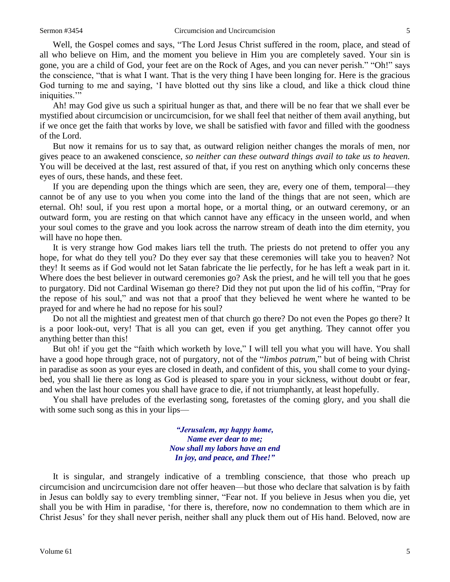Well, the Gospel comes and says, "The Lord Jesus Christ suffered in the room, place, and stead of all who believe on Him, and the moment you believe in Him you are completely saved. Your sin is gone, you are a child of God, your feet are on the Rock of Ages, and you can never perish." "Oh!" says the conscience, "that is what I want. That is the very thing I have been longing for. Here is the gracious God turning to me and saying, 'I have blotted out thy sins like a cloud, and like a thick cloud thine iniquities."

Ah! may God give us such a spiritual hunger as that, and there will be no fear that we shall ever be mystified about circumcision or uncircumcision, for we shall feel that neither of them avail anything, but if we once get the faith that works by love, we shall be satisfied with favor and filled with the goodness of the Lord.

But now it remains for us to say that, as outward religion neither changes the morals of men, nor gives peace to an awakened conscience, *so neither can these outward things avail to take us to heaven.* You will be deceived at the last, rest assured of that, if you rest on anything which only concerns these eyes of ours, these hands, and these feet.

If you are depending upon the things which are seen, they are, every one of them, temporal—they cannot be of any use to you when you come into the land of the things that are not seen, which are eternal. Oh! soul, if you rest upon a mortal hope, or a mortal thing, or an outward ceremony, or an outward form, you are resting on that which cannot have any efficacy in the unseen world, and when your soul comes to the grave and you look across the narrow stream of death into the dim eternity, you will have no hope then.

It is very strange how God makes liars tell the truth. The priests do not pretend to offer you any hope, for what do they tell you? Do they ever say that these ceremonies will take you to heaven? Not they! It seems as if God would not let Satan fabricate the lie perfectly, for he has left a weak part in it. Where does the best believer in outward ceremonies go? Ask the priest, and he will tell you that he goes to purgatory. Did not Cardinal Wiseman go there? Did they not put upon the lid of his coffin, "Pray for the repose of his soul," and was not that a proof that they believed he went where he wanted to be prayed for and where he had no repose for his soul?

Do not all the mightiest and greatest men of that church go there? Do not even the Popes go there? It is a poor look-out, very! That is all you can get, even if you get anything. They cannot offer you anything better than this!

But oh! if you get the "faith which worketh by love," I will tell you what you will have. You shall have a good hope through grace, not of purgatory, not of the "*limbos patrum*," but of being with Christ in paradise as soon as your eyes are closed in death, and confident of this, you shall come to your dyingbed, you shall lie there as long as God is pleased to spare you in your sickness, without doubt or fear, and when the last hour comes you shall have grace to die, if not triumphantly, at least hopefully.

You shall have preludes of the everlasting song, foretastes of the coming glory, and you shall die with some such song as this in your lips—

> *"Jerusalem, my happy home, Name ever dear to me; Now shall my labors have an end In joy, and peace, and Thee!"*

It is singular, and strangely indicative of a trembling conscience, that those who preach up circumcision and uncircumcision dare not offer heaven—but those who declare that salvation is by faith in Jesus can boldly say to every trembling sinner, "Fear not. If you believe in Jesus when you die, yet shall you be with Him in paradise, 'for there is, therefore, now no condemnation to them which are in Christ Jesus' for they shall never perish, neither shall any pluck them out of His hand. Beloved, now are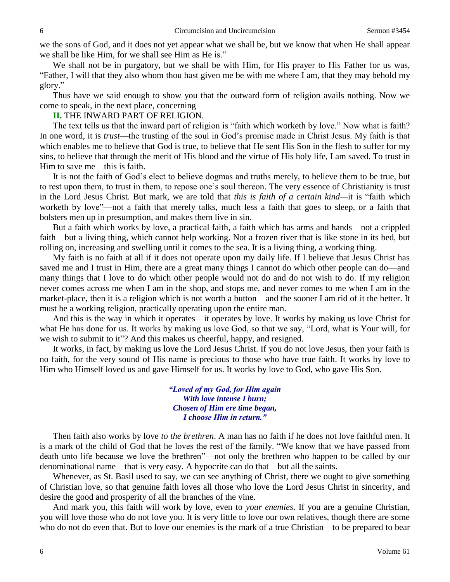we the sons of God, and it does not yet appear what we shall be, but we know that when He shall appear we shall be like Him, for we shall see Him as He is."

We shall not be in purgatory, but we shall be with Him, for His prayer to His Father for us was, "Father, I will that they also whom thou hast given me be with me where I am, that they may behold my glory."

Thus have we said enough to show you that the outward form of religion avails nothing. Now we come to speak, in the next place, concerning—

### **II.** THE INWARD PART OF RELIGION.

The text tells us that the inward part of religion is "faith which worketh by love." Now what is faith? In one word, it is *trust*—the trusting of the soul in God's promise made in Christ Jesus. My faith is that which enables me to believe that God is true, to believe that He sent His Son in the flesh to suffer for my sins, to believe that through the merit of His blood and the virtue of His holy life, I am saved. To trust in Him to save me—this is faith.

It is not the faith of God's elect to believe dogmas and truths merely, to believe them to be true, but to rest upon them, to trust in them, to repose one's soul thereon. The very essence of Christianity is trust in the Lord Jesus Christ. But mark, we are told that *this is faith of a certain kind—*it is "faith which worketh by love"—not a faith that merely talks, much less a faith that goes to sleep, or a faith that bolsters men up in presumption, and makes them live in sin.

But a faith which works by love, a practical faith, a faith which has arms and hands—not a crippled faith—but a living thing, which cannot help working. Not a frozen river that is like stone in its bed, but rolling on, increasing and swelling until it comes to the sea. It is a living thing, a working thing.

My faith is no faith at all if it does not operate upon my daily life. If I believe that Jesus Christ has saved me and I trust in Him, there are a great many things I cannot do which other people can do—and many things that I love to do which other people would not do and do not wish to do. If my religion never comes across me when I am in the shop, and stops me, and never comes to me when I am in the market-place, then it is a religion which is not worth a button—and the sooner I am rid of it the better. It must be a working religion, practically operating upon the entire man.

And this is the way in which it operates—it operates by love. It works by making us love Christ for what He has done for us. It works by making us love God, so that we say, "Lord, what is Your will, for we wish to submit to it"? And this makes us cheerful, happy, and resigned.

It works, in fact, by making us love the Lord Jesus Christ. If you do not love Jesus, then your faith is no faith, for the very sound of His name is precious to those who have true faith. It works by love to Him who Himself loved us and gave Himself for us. It works by love to God, who gave His Son.

> *"Loved of my God, for Him again With love intense I burn; Chosen of Him ere time began, I choose Him in return."*

Then faith also works by love *to the brethren*. A man has no faith if he does not love faithful men. It is a mark of the child of God that he loves the rest of the family. "We know that we have passed from death unto life because we love the brethren"—not only the brethren who happen to be called by our denominational name—that is very easy. A hypocrite can do that—but all the saints.

Whenever, as St. Basil used to say, we can see anything of Christ, there we ought to give something of Christian love, so that genuine faith loves all those who love the Lord Jesus Christ in sincerity, and desire the good and prosperity of all the branches of the vine.

And mark you, this faith will work by love, even to *your enemies*. If you are a genuine Christian, you will love those who do not love you. It is very little to love our own relatives, though there are some who do not do even that. But to love our enemies is the mark of a true Christian—to be prepared to bear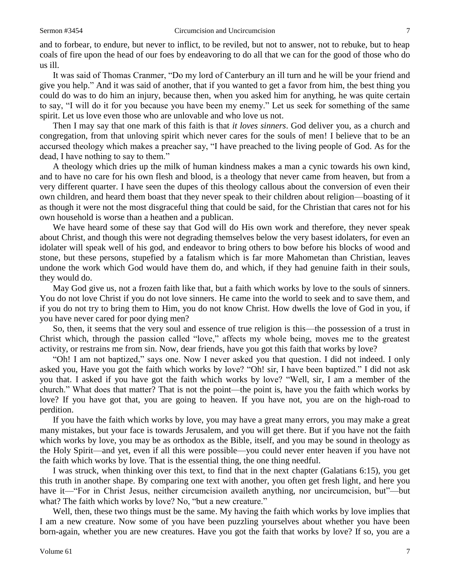and to forbear, to endure, but never to inflict, to be reviled, but not to answer, not to rebuke, but to heap coals of fire upon the head of our foes by endeavoring to do all that we can for the good of those who do us ill.

It was said of Thomas Cranmer, "Do my lord of Canterbury an ill turn and he will be your friend and give you help." And it was said of another, that if you wanted to get a favor from him, the best thing you could do was to do him an injury, because then, when you asked him for anything, he was quite certain to say, "I will do it for you because you have been my enemy." Let us seek for something of the same spirit. Let us love even those who are unlovable and who love us not.

Then I may say that one mark of this faith is that *it loves sinners*. God deliver you, as a church and congregation, from that unloving spirit which never cares for the souls of men! I believe that to be an accursed theology which makes a preacher say, "I have preached to the living people of God. As for the dead, I have nothing to say to them."

A theology which dries up the milk of human kindness makes a man a cynic towards his own kind, and to have no care for his own flesh and blood, is a theology that never came from heaven, but from a very different quarter. I have seen the dupes of this theology callous about the conversion of even their own children, and heard them boast that they never speak to their children about religion—boasting of it as though it were not the most disgraceful thing that could be said, for the Christian that cares not for his own household is worse than a heathen and a publican.

We have heard some of these say that God will do His own work and therefore, they never speak about Christ, and though this were not degrading themselves below the very basest idolaters, for even an idolater will speak well of his god, and endeavor to bring others to bow before his blocks of wood and stone, but these persons, stupefied by a fatalism which is far more Mahometan than Christian, leaves undone the work which God would have them do, and which, if they had genuine faith in their souls, they would do.

May God give us, not a frozen faith like that, but a faith which works by love to the souls of sinners. You do not love Christ if you do not love sinners. He came into the world to seek and to save them, and if you do not try to bring them to Him, you do not know Christ. How dwells the love of God in you, if you have never cared for poor dying men?

So, then, it seems that the very soul and essence of true religion is this—the possession of a trust in Christ which, through the passion called "love," affects my whole being, moves me to the greatest activity, or restrains me from sin. Now, dear friends, have you got this faith that works by love?

"Oh! I am not baptized," says one. Now I never asked you that question. I did not indeed. I only asked you, Have you got the faith which works by love? "Oh! sir, I have been baptized." I did not ask you that. I asked if you have got the faith which works by love? "Well, sir, I am a member of the church." What does that matter? That is not the point—the point is, have you the faith which works by love? If you have got that, you are going to heaven. If you have not, you are on the high-road to perdition.

If you have the faith which works by love, you may have a great many errors, you may make a great many mistakes, but your face is towards Jerusalem, and you will get there. But if you have not the faith which works by love, you may be as orthodox as the Bible, itself, and you may be sound in theology as the Holy Spirit—and yet, even if all this were possible—you could never enter heaven if you have not the faith which works by love. That is the essential thing, the one thing needful.

I was struck, when thinking over this text, to find that in the next chapter (Galatians 6:15), you get this truth in another shape. By comparing one text with another, you often get fresh light, and here you have it—"For in Christ Jesus, neither circumcision availeth anything, nor uncircumcision, but"—but what? The faith which works by love? No, "but a new creature."

Well, then, these two things must be the same. My having the faith which works by love implies that I am a new creature. Now some of you have been puzzling yourselves about whether you have been born-again, whether you are new creatures. Have you got the faith that works by love? If so, you are a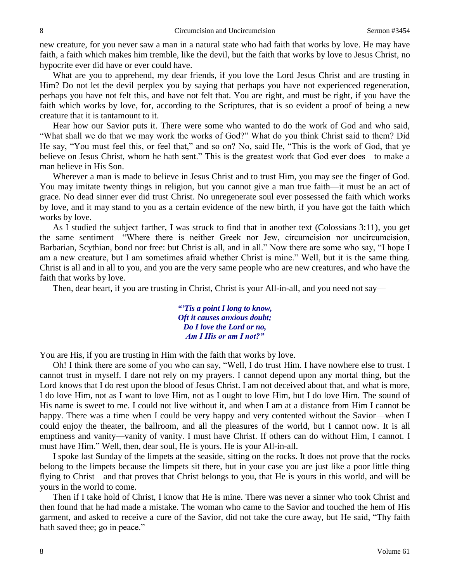new creature, for you never saw a man in a natural state who had faith that works by love. He may have faith, a faith which makes him tremble, like the devil, but the faith that works by love to Jesus Christ, no hypocrite ever did have or ever could have.

What are you to apprehend, my dear friends, if you love the Lord Jesus Christ and are trusting in Him? Do not let the devil perplex you by saying that perhaps you have not experienced regeneration, perhaps you have not felt this, and have not felt that. You are right, and must be right, if you have the faith which works by love, for, according to the Scriptures, that is so evident a proof of being a new creature that it is tantamount to it.

Hear how our Savior puts it. There were some who wanted to do the work of God and who said, "What shall we do that we may work the works of God?" What do you think Christ said to them? Did He say, "You must feel this, or feel that," and so on? No, said He, "This is the work of God, that ye believe on Jesus Christ, whom he hath sent." This is the greatest work that God ever does—to make a man believe in His Son.

Wherever a man is made to believe in Jesus Christ and to trust Him, you may see the finger of God. You may imitate twenty things in religion, but you cannot give a man true faith—it must be an act of grace. No dead sinner ever did trust Christ. No unregenerate soul ever possessed the faith which works by love, and it may stand to you as a certain evidence of the new birth, if you have got the faith which works by love.

As I studied the subject farther, I was struck to find that in another text (Colossians 3:11), you get the same sentiment—"Where there is neither Greek nor Jew, circumcision nor uncircumcision, Barbarian, Scythian, bond nor free: but Christ is all, and in all." Now there are some who say, "I hope I am a new creature, but I am sometimes afraid whether Christ is mine." Well, but it is the same thing. Christ is all and in all to you, and you are the very same people who are new creatures, and who have the faith that works by love.

Then, dear heart, if you are trusting in Christ, Christ is your All-in-all, and you need not say—

*"'Tis a point I long to know, Oft it causes anxious doubt; Do I love the Lord or no, Am I His or am I not?"*

You are His, if you are trusting in Him with the faith that works by love.

Oh! I think there are some of you who can say, "Well, I do trust Him. I have nowhere else to trust. I cannot trust in myself. I dare not rely on my prayers. I cannot depend upon any mortal thing, but the Lord knows that I do rest upon the blood of Jesus Christ. I am not deceived about that, and what is more, I do love Him, not as I want to love Him, not as I ought to love Him, but I do love Him. The sound of His name is sweet to me. I could not live without it, and when I am at a distance from Him I cannot be happy. There was a time when I could be very happy and very contented without the Savior—when I could enjoy the theater, the ballroom, and all the pleasures of the world, but I cannot now. It is all emptiness and vanity—vanity of vanity. I must have Christ. If others can do without Him, I cannot. I must have Him." Well, then, dear soul, He is yours. He is your All-in-all.

I spoke last Sunday of the limpets at the seaside, sitting on the rocks. It does not prove that the rocks belong to the limpets because the limpets sit there, but in your case you are just like a poor little thing flying to Christ—and that proves that Christ belongs to you, that He is yours in this world, and will be yours in the world to come.

Then if I take hold of Christ, I know that He is mine. There was never a sinner who took Christ and then found that he had made a mistake. The woman who came to the Savior and touched the hem of His garment, and asked to receive a cure of the Savior, did not take the cure away, but He said, "Thy faith hath saved thee; go in peace."